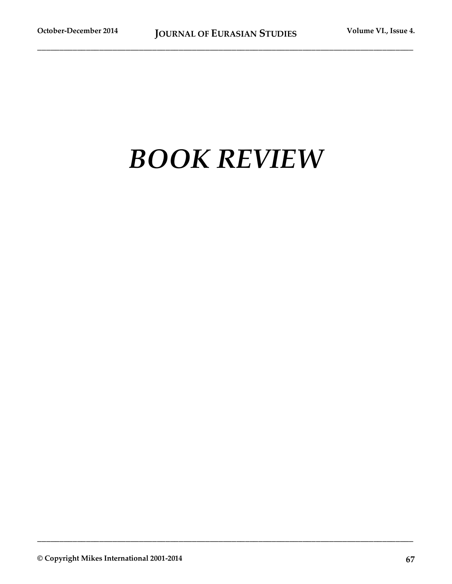## *BOOK REVIEW*

**\_\_\_\_\_\_\_\_\_\_\_\_\_\_\_\_\_\_\_\_\_\_\_\_\_\_\_\_\_\_\_\_\_\_\_\_\_\_\_\_\_\_\_\_\_\_\_\_\_\_\_\_\_\_\_\_\_\_\_\_\_\_\_\_\_\_\_\_\_\_\_\_\_\_\_\_\_\_\_\_\_\_\_\_\_**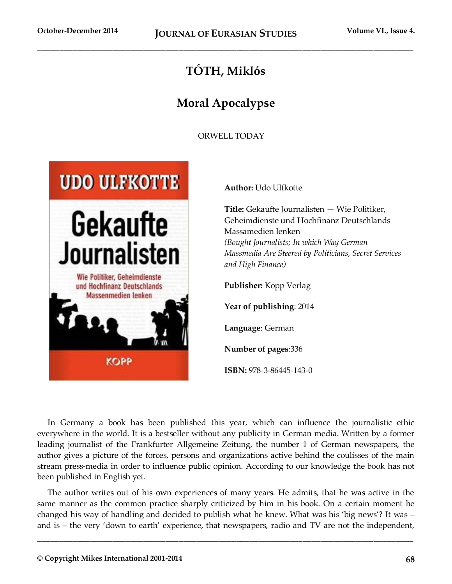## **TÓTH, Miklós**

## **Moral Apocalypse**

ORWELL TODAY



**Author:** Udo Ulfkotte

**Title:** Gekaufte Journalisten — Wie Politiker, Geheimdienste und Hochfinanz Deutschlands Massamedien lenken *(Bought Journalists; In which Way German Massmedia Are Steered by Politicians, Secret Services and High Finance)*

**Publisher:** Kopp Verlag

**Year of publishing**: 2014

**Language**: German

**Number of pages**:336

**ISBN:** 978-3-86445-143-0

In Germany a book has been published this year, which can influence the journalistic ethic everywhere in the world. It is a bestseller without any publicity in German media. Written by a former leading journalist of the Frankfurter Allgemeine Zeitung, the number 1 of German newspapers, the author gives a picture of the forces, persons and organizations active behind the coulisses of the main stream press-media in order to influence public opinion. According to our knowledge the book has not been published in English yet.

The author writes out of his own experiences of many years. He admits, that he was active in the same manner as the common practice sharply criticized by him in his book. On a certain moment he changed his way of handling and decided to publish what he knew. What was his 'big news'? It was – and is – the very 'down to earth' experience, that newspapers, radio and TV are not the independent,

**\_\_\_\_\_\_\_\_\_\_\_\_\_\_\_\_\_\_\_\_\_\_\_\_\_\_\_\_\_\_\_\_\_\_\_\_\_\_\_\_\_\_\_\_\_\_\_\_\_\_\_\_\_\_\_\_\_\_\_\_\_\_\_\_\_\_\_\_\_\_\_\_\_\_\_\_\_\_\_\_\_\_\_\_\_**